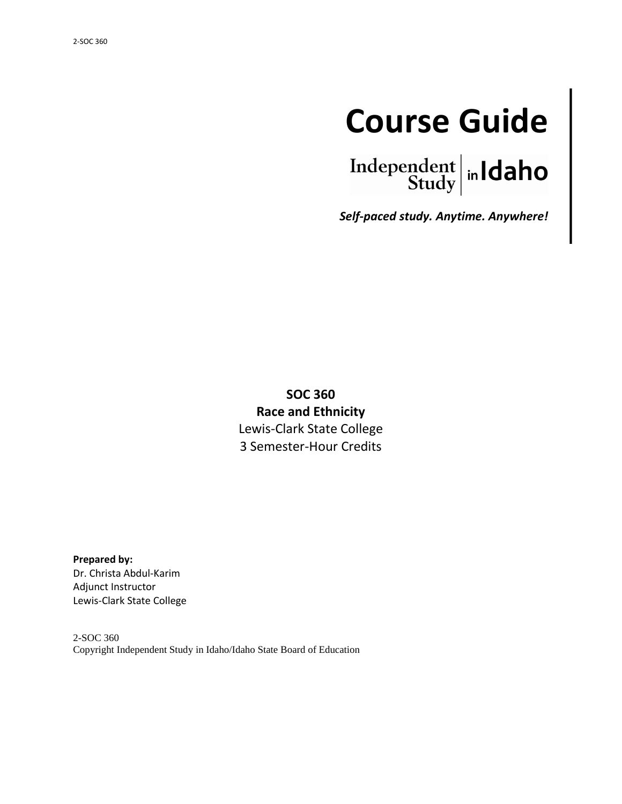# **Course Guide**



*Self-paced study. Anytime. Anywhere!*

**SOC 360 Race and Ethnicity** Lewis-Clark State College 3 Semester-Hour Credits

**Prepared by:** Dr. Christa Abdul-Karim Adjunct Instructor Lewis-Clark State College

2-SOC 360 Copyright Independent Study in Idaho/Idaho State Board of Education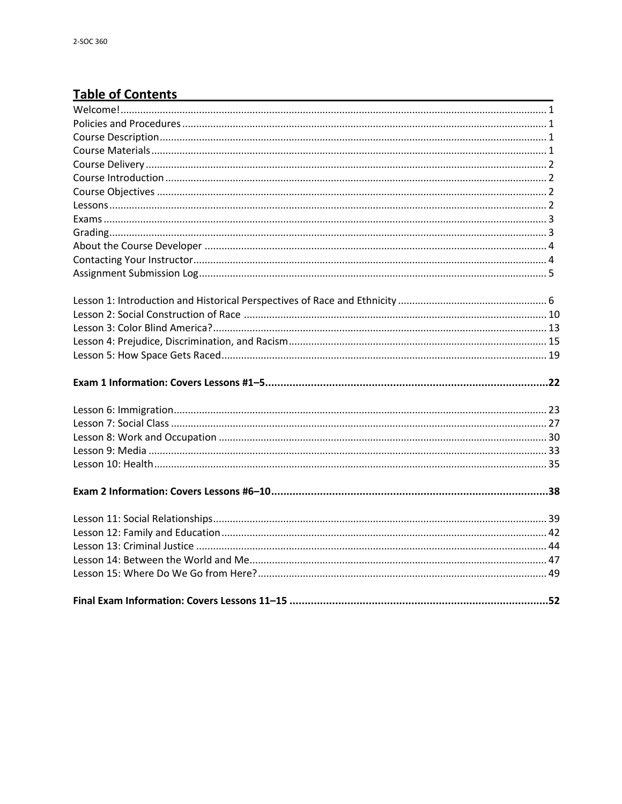# **Table of Contents**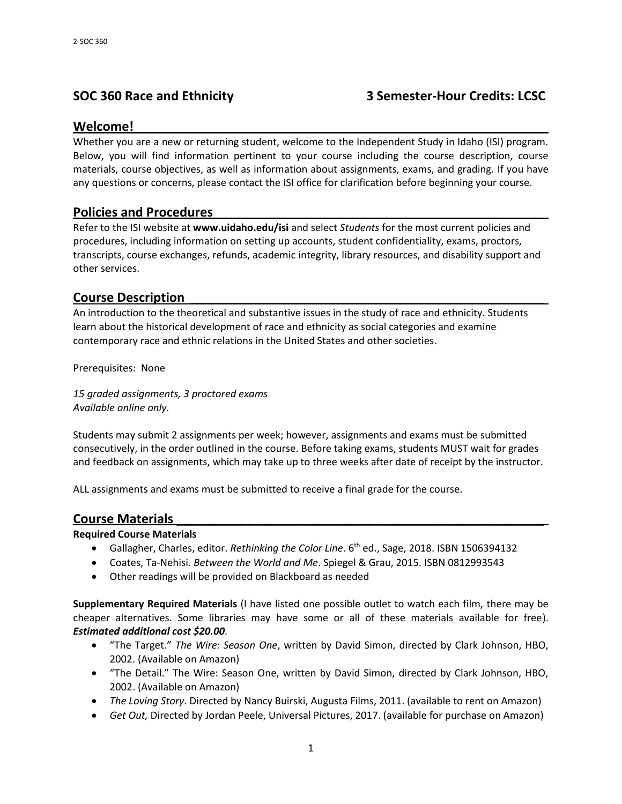# **SOC 360 Race and Ethnicity 3 Semester-Hour Credits: LCSC**

## **Welcome!\_\_\_\_\_\_\_\_\_\_\_\_\_\_\_\_\_\_\_\_\_\_\_\_\_\_\_\_\_\_\_\_\_\_\_\_\_\_\_\_\_\_\_\_\_\_\_\_\_\_\_\_\_\_\_\_\_\_**

Whether you are a new or returning student, welcome to the Independent Study in Idaho (ISI) program. Below, you will find information pertinent to your course including the course description, course materials, course objectives, as well as information about assignments, exams, and grading. If you have any questions or concerns, please contact the ISI office for clarification before beginning your course.

## **Policies and Procedures \_\_\_\_\_\_\_\_\_\_\_\_\_\_\_\_\_\_\_\_\_\_\_\_\_\_\_\_\_\_\_\_\_\_\_\_\_\_\_\_\_\_\_\_\_\_**

Refer to the ISI website at **www.uidaho.edu/isi** and select *Students* for the most current policies and procedures, including information on setting up accounts, student confidentiality, exams, proctors, transcripts, course exchanges, refunds, academic integrity, library resources, and disability support and other services.

#### **Course Description \_\_\_\_\_\_\_\_\_\_\_\_\_\_\_\_\_\_\_\_\_\_\_\_\_\_\_\_\_\_\_\_\_\_\_\_\_\_\_\_\_\_\_\_\_\_\_\_\_\_**

An introduction to the theoretical and substantive issues in the study of race and ethnicity. Students learn about the historical development of race and ethnicity as social categories and examine contemporary race and ethnic relations in the United States and other societies.

Prerequisites: None

*15 graded assignments, 3 proctored exams Available online only.*

Students may submit 2 assignments per week; however, assignments and exams must be submitted consecutively, in the order outlined in the course. Before taking exams, students MUST wait for grades and feedback on assignments, which may take up to three weeks after date of receipt by the instructor.

ALL assignments and exams must be submitted to receive a final grade for the course.

#### **Course Materials \_\_\_\_\_\_\_\_\_\_\_\_\_\_\_\_\_\_\_\_\_\_\_\_\_\_\_\_\_\_\_\_\_\_\_\_\_\_\_\_\_\_\_\_\_\_\_\_\_\_\_\_**

#### **Required Course Materials**

- Gallagher, Charles, editor. *Rethinking the Color Line*. 6 th ed., Sage, 2018. ISBN 1506394132
- Coates, Ta-Nehisi. *Between the World and Me*. Spiegel & Grau, 2015. ISBN 0812993543
- Other readings will be provided on Blackboard as needed

**Supplementary Required Materials** (I have listed one possible outlet to watch each film, there may be cheaper alternatives. Some libraries may have some or all of these materials available for free). *Estimated additional cost \$20.00.*

- "The Target." *The Wire: Season One*, written by David Simon, directed by Clark Johnson, HBO, 2002. (Available on Amazon)
- "The Detail." The Wire: Season One, written by David Simon, directed by Clark Johnson, HBO, 2002. (Available on Amazon)
- *The Loving Story*. Directed by Nancy Buirski, Augusta Films, 2011. (available to rent on Amazon)
- *Get Out,* Directed by Jordan Peele, Universal Pictures, 2017. (available for purchase on Amazon)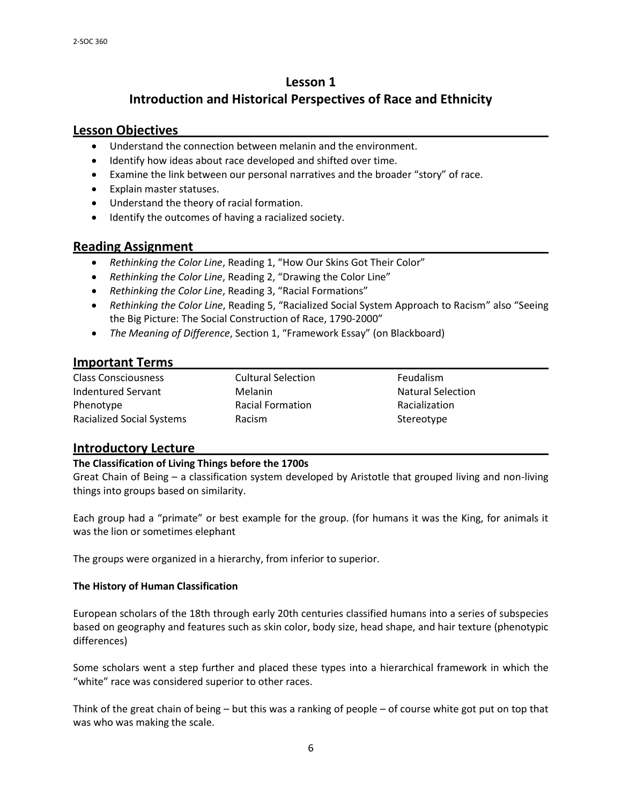# **Lesson 1 Introduction and Historical Perspectives of Race and Ethnicity**

# **Lesson Objectives \_\_\_\_\_\_\_\_\_\_\_\_\_\_\_\_\_\_\_\_\_\_\_\_\_\_\_\_\_\_\_\_\_\_\_\_\_\_\_\_\_\_\_\_\_\_\_\_\_\_\_**

- Understand the connection between melanin and the environment.
- Identify how ideas about race developed and shifted over time.
- Examine the link between our personal narratives and the broader "story" of race.
- Explain master statuses.
- Understand the theory of racial formation.
- $\bullet$  Identify the outcomes of having a racialized society.

# **Reading Assignment \_\_\_\_\_\_\_\_\_\_\_\_\_\_\_\_\_\_\_\_\_\_\_\_\_\_\_\_\_\_\_\_\_\_\_\_\_\_\_\_\_\_\_\_\_\_\_\_\_**

- *Rethinking the Color Line*, Reading 1, "How Our Skins Got Their Color"
- *Rethinking the Color Line*, Reading 2, "Drawing the Color Line"
- *Rethinking the Color Line*, Reading 3, "Racial Formations"
- *Rethinking the Color Line*, Reading 5, "Racialized Social System Approach to Racism" also "Seeing the Big Picture: The Social Construction of Race, 1790-2000"
- *The Meaning of Difference*, Section 1, "Framework Essay" (on Blackboard)

## **Important Terms \_\_\_\_\_\_\_\_\_\_\_\_\_\_\_\_\_\_\_\_\_\_\_\_\_\_\_\_\_\_\_\_\_\_\_\_\_\_\_\_\_\_\_\_\_\_\_\_\_\_\_\_**

Class Consciousness Cultural Selection Feudalism Indentured Servant **Melanin** Melanin Melanin Natural Selection Phenotype **Racial Formation** Racial Formation Racialization Racialized Social Systems Racism Racism Racism Stereotype

# **Introductory Lecture \_\_\_\_\_\_\_\_\_\_\_\_\_\_\_\_\_\_\_\_\_\_\_\_\_\_\_\_\_\_\_\_\_\_\_\_\_\_\_\_\_\_\_\_\_\_\_\_\_**

#### **The Classification of Living Things before the 1700s**

Great Chain of Being – a classification system developed by Aristotle that grouped living and non-living things into groups based on similarity.

Each group had a "primate" or best example for the group. (for humans it was the King, for animals it was the lion or sometimes elephant

The groups were organized in a hierarchy, from inferior to superior.

#### **The History of Human Classification**

European scholars of the 18th through early 20th centuries classified humans into a series of subspecies based on geography and features such as skin color, body size, head shape, and hair texture (phenotypic differences)

Some scholars went a step further and placed these types into a hierarchical framework in which the "white" race was considered superior to other races.

Think of the great chain of being – but this was a ranking of people – of course white got put on top that was who was making the scale.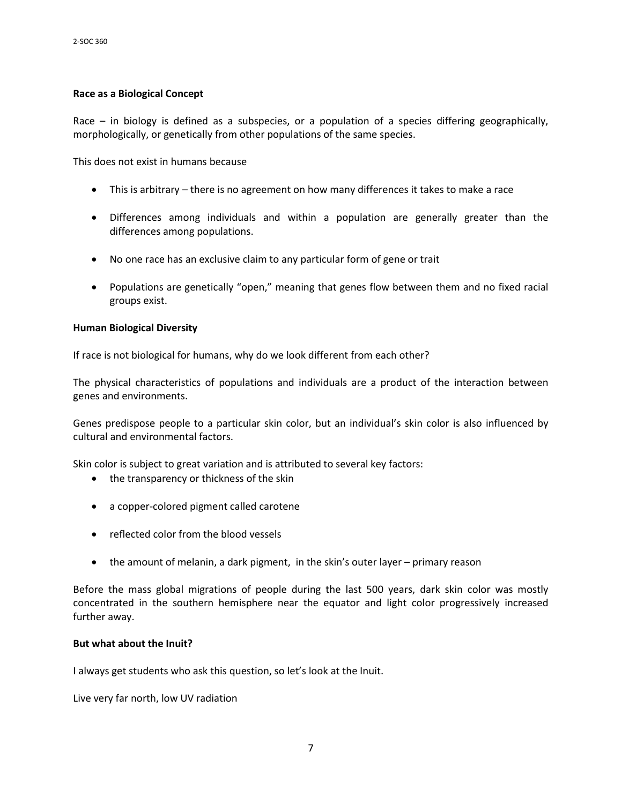#### **Race as a Biological Concept**

Race – in biology is defined as a subspecies, or a population of a species differing geographically, morphologically, or genetically from other populations of the same species.

This does not exist in humans because

- This is arbitrary there is no agreement on how many differences it takes to make a race
- Differences among individuals and within a population are generally greater than the differences among populations.
- No one race has an exclusive claim to any particular form of gene or trait
- Populations are genetically "open," meaning that genes flow between them and no fixed racial groups exist.

#### **Human Biological Diversity**

If race is not biological for humans, why do we look different from each other?

The physical characteristics of populations and individuals are a product of the interaction between genes and environments.

Genes predispose people to a particular skin color, but an individual's skin color is also influenced by cultural and environmental factors.

Skin color is subject to great variation and is attributed to several key factors:

- the transparency or thickness of the skin
- a copper-colored pigment called carotene
- reflected color from the blood vessels
- the amount of melanin, a dark pigment, in the skin's outer layer primary reason

Before the mass global migrations of people during the last 500 years, dark skin color was mostly concentrated in the southern hemisphere near the equator and light color progressively increased further away.

#### **But what about the Inuit?**

I always get students who ask this question, so let's look at the Inuit.

Live very far north, low UV radiation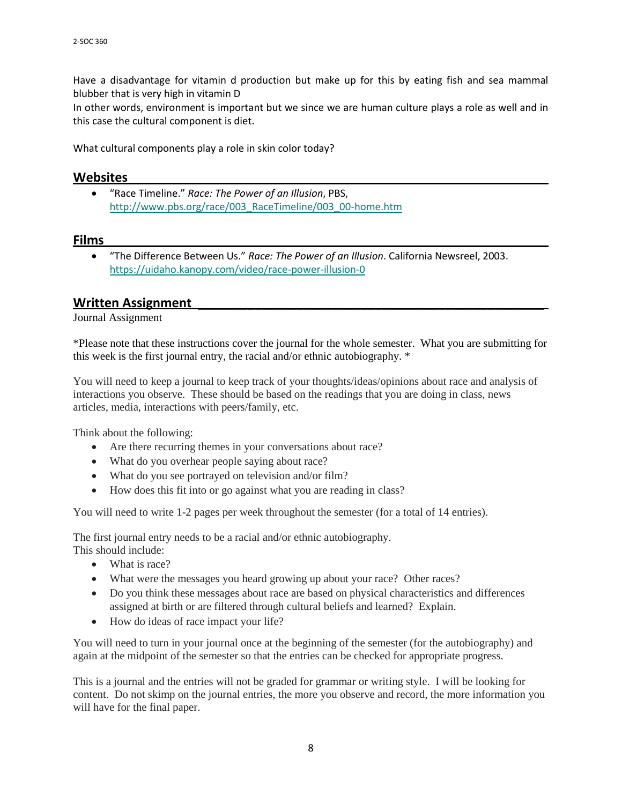Have a disadvantage for vitamin d production but make up for this by eating fish and sea mammal blubber that is very high in vitamin D

In other words, environment is important but we since we are human culture plays a role as well and in this case the cultural component is diet.

What cultural components play a role in skin color today?

# **Websites \_\_\_\_\_\_\_\_\_\_\_\_\_\_\_\_\_\_\_\_\_\_\_\_\_\_\_\_\_\_\_\_\_\_\_\_\_\_\_\_\_\_\_\_\_\_\_\_\_\_\_\_\_\_\_\_\_\_**

 "Race Timeline." *Race: The Power of an Illusion*, PBS, [http://www.pbs.org/race/003\\_RaceTimeline/003\\_00-home.htm](http://www.pbs.org/race/003_RaceTimeline/003_00-home.htm)

# **Films \_\_\_\_\_\_\_\_\_\_\_\_\_\_\_\_\_\_\_\_\_\_\_\_\_\_\_\_\_\_\_\_\_\_\_\_\_\_\_\_\_\_\_\_\_\_\_\_\_\_\_\_\_\_\_\_\_\_\_\_\_\_**

 "The Difference Between Us." *Race: The Power of an Illusion*. California Newsreel, 2003. <https://uidaho.kanopy.com/video/race-power-illusion-0>

#### **Written Assignment \_\_\_\_\_\_\_\_\_\_\_\_\_\_\_\_\_\_\_\_\_\_\_\_\_\_\_\_\_\_\_\_\_\_\_\_\_\_\_\_\_\_\_\_\_\_\_\_\_**

#### Journal Assignment

\*Please note that these instructions cover the journal for the whole semester. What you are submitting for this week is the first journal entry, the racial and/or ethnic autobiography. \*

You will need to keep a journal to keep track of your thoughts/ideas/opinions about race and analysis of interactions you observe. These should be based on the readings that you are doing in class, news articles, media, interactions with peers/family, etc.

Think about the following:

- Are there recurring themes in your conversations about race?
- What do you overhear people saying about race?
- What do you see portrayed on television and/or film?
- How does this fit into or go against what you are reading in class?

You will need to write 1-2 pages per week throughout the semester (for a total of 14 entries).

The first journal entry needs to be a racial and/or ethnic autobiography. This should include:

- What is race?
- What were the messages you heard growing up about your race? Other races?
- Do you think these messages about race are based on physical characteristics and differences assigned at birth or are filtered through cultural beliefs and learned? Explain.
- How do ideas of race impact your life?

You will need to turn in your journal once at the beginning of the semester (for the autobiography) and again at the midpoint of the semester so that the entries can be checked for appropriate progress.

This is a journal and the entries will not be graded for grammar or writing style. I will be looking for content. Do not skimp on the journal entries, the more you observe and record, the more information you will have for the final paper.